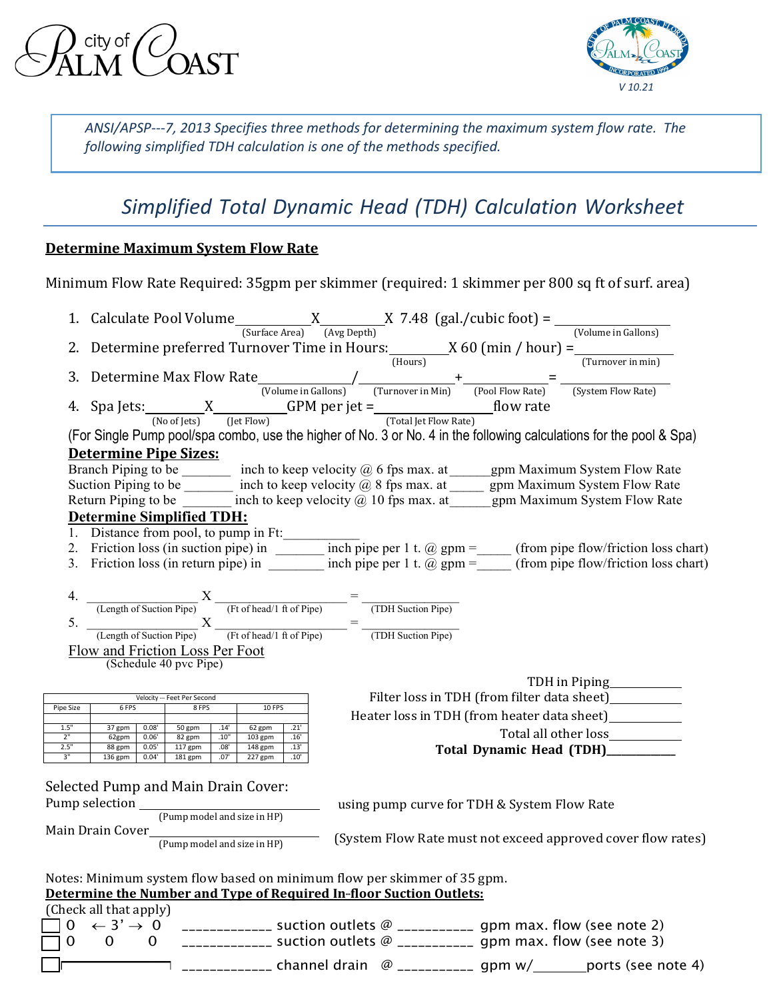city of AST



*ANSI/APSP---7, 2013 Specifies three methods for determining the maximum system flow rate. The following simplified TDH calculation is one of the methods specified.*

# *Simplified Total Dynamic Head (TDH) Calculation Worksheet*

# **Determine Maximum System Flow Rate**

Minimum Flow Rate Required: 35gpm per skimmer (required: 1 skimmer per 800 sq ft of surf. area)

|                                   |                        |                |                                                                                                                |              |                        |              |                                                                                                                                                |  |                                             | 1. Calculate Pool Volume $\underbrace{X \xrightarrow{\text{(Surface Area)}} (Avg \text{Depth})} X$ 7.48 (gal./cubic foot) = $\underbrace{(\text{Volume in Gallons})} (\text{Volume in Gallons})$<br>2. Determine preferred Turnover Time in Hours: $\underbrace{X \text{ 60 (min / hour)}}_{\text{(Hours)}} = \underbrace{(\text{Truncive in min})}$                                                                          |
|-----------------------------------|------------------------|----------------|----------------------------------------------------------------------------------------------------------------|--------------|------------------------|--------------|------------------------------------------------------------------------------------------------------------------------------------------------|--|---------------------------------------------|-------------------------------------------------------------------------------------------------------------------------------------------------------------------------------------------------------------------------------------------------------------------------------------------------------------------------------------------------------------------------------------------------------------------------------|
|                                   |                        |                |                                                                                                                |              |                        |              |                                                                                                                                                |  |                                             |                                                                                                                                                                                                                                                                                                                                                                                                                               |
|                                   |                        |                |                                                                                                                |              |                        |              |                                                                                                                                                |  |                                             |                                                                                                                                                                                                                                                                                                                                                                                                                               |
|                                   |                        |                |                                                                                                                |              |                        |              |                                                                                                                                                |  |                                             |                                                                                                                                                                                                                                                                                                                                                                                                                               |
|                                   |                        |                |                                                                                                                |              |                        |              |                                                                                                                                                |  |                                             | 3. Determine Max Flow Rate $\frac{1}{(Volume in Gallons)}$ $\frac{1}{(Turnover in Min)}$ + $\frac{1}{(Pool Flow Rate)}$ = $\frac{1}{(System Flow Rate)}$<br>4. Spa Jets: $\frac{X}{(Notlets)}$ $\frac{1}{(Det Flow)}$ $\frac{1}{(Det Flow Rate)}$ $\frac{1}{(Total Jet Flow Rate)}$ $\frac{1}{(Total Jet Flow Rate)}$ $\frac{1}{(Total V + 1)}$ $\frac{1}{(Total V + 1)}$ $\frac{1}{(Total V + 1)}$ $\frac{1}{(Total V + 1)}$ |
|                                   |                        |                |                                                                                                                |              |                        |              |                                                                                                                                                |  |                                             |                                                                                                                                                                                                                                                                                                                                                                                                                               |
|                                   |                        |                |                                                                                                                |              |                        |              |                                                                                                                                                |  |                                             | (For Single Pump pool/spa combo, use the higher of No. 3 or No. 4 in the following calculations for the pool & Spa)                                                                                                                                                                                                                                                                                                           |
|                                   |                        |                | <b>Determine Pipe Sizes:</b>                                                                                   |              |                        |              |                                                                                                                                                |  |                                             |                                                                                                                                                                                                                                                                                                                                                                                                                               |
|                                   |                        |                |                                                                                                                |              |                        |              |                                                                                                                                                |  |                                             | Branch Piping to be ________ inch to keep velocity @ 6 fps max. at ______ gpm Maximum System Flow Rate                                                                                                                                                                                                                                                                                                                        |
|                                   |                        |                |                                                                                                                |              |                        |              |                                                                                                                                                |  |                                             | Suction Piping to be inch to keep velocity $\omega$ 8 fps max. at $\omega$ gpm Maximum System Flow Rate<br>Return Piping to be inch to keep velocity $\omega$ 10 fps max. at gpm Maximum System Flow Rate                                                                                                                                                                                                                     |
|                                   |                        |                |                                                                                                                |              |                        |              |                                                                                                                                                |  |                                             |                                                                                                                                                                                                                                                                                                                                                                                                                               |
|                                   |                        |                | <b>Determine Simplified TDH:</b>                                                                               |              |                        |              |                                                                                                                                                |  |                                             |                                                                                                                                                                                                                                                                                                                                                                                                                               |
|                                   |                        |                |                                                                                                                |              |                        |              |                                                                                                                                                |  |                                             |                                                                                                                                                                                                                                                                                                                                                                                                                               |
|                                   |                        |                |                                                                                                                |              |                        |              |                                                                                                                                                |  |                                             |                                                                                                                                                                                                                                                                                                                                                                                                                               |
|                                   |                        |                |                                                                                                                |              |                        |              |                                                                                                                                                |  |                                             | 1. Distance from pool, to pump in Ft:<br>2. Friction loss (in suction pipe) in $\frac{\text{inch pipe per 1 t. @ gpm =}}{\text{inch nine ner 1 t. @ gpm =}}$ (from pipe flow/friction loss chart)                                                                                                                                                                                                                             |
|                                   |                        |                |                                                                                                                |              |                        |              |                                                                                                                                                |  |                                             |                                                                                                                                                                                                                                                                                                                                                                                                                               |
|                                   |                        |                |                                                                                                                |              |                        |              | 4. $\frac{4}{(\text{Length of Suction Pipe})} \times \frac{1}{(\text{Ft of head}/1 \text{ ft of Pipe})} = \frac{4}{(\text{TDH Suction Pipe})}$ |  |                                             |                                                                                                                                                                                                                                                                                                                                                                                                                               |
|                                   |                        |                |                                                                                                                |              |                        |              | 5. $\frac{1}{(\text{Length of Suction Pipe})} \times \frac{1}{(\text{Ft of head}/1 \text{ ft of Pipe})} = \frac{1}{(\text{TDH Suction Pipe})}$ |  |                                             |                                                                                                                                                                                                                                                                                                                                                                                                                               |
|                                   |                        |                | Flow and Friction Loss Per Foot                                                                                |              |                        |              |                                                                                                                                                |  |                                             |                                                                                                                                                                                                                                                                                                                                                                                                                               |
|                                   |                        |                | (Schedule 40 pvc Pipe)                                                                                         |              |                        |              |                                                                                                                                                |  |                                             |                                                                                                                                                                                                                                                                                                                                                                                                                               |
|                                   |                        |                |                                                                                                                |              |                        |              |                                                                                                                                                |  |                                             | TDH in Piping<br><u>Lands</u>                                                                                                                                                                                                                                                                                                                                                                                                 |
|                                   |                        |                | Velocity -- Feet Per Second                                                                                    |              |                        |              |                                                                                                                                                |  |                                             | Filter loss in TDH (from filter data sheet)___________                                                                                                                                                                                                                                                                                                                                                                        |
| Pipe Size                         | 6 FPS                  |                | 8 FPS                                                                                                          |              | 10 FPS                 |              |                                                                                                                                                |  |                                             |                                                                                                                                                                                                                                                                                                                                                                                                                               |
| 1.5"                              | 37 gpm                 | 0.08'          | 50 gpm                                                                                                         | .14          | $62$ gpm               | .21'         |                                                                                                                                                |  |                                             | Heater loss in TDH (from heater data sheet)____________                                                                                                                                                                                                                                                                                                                                                                       |
| 2"                                | 62gpm                  | 0.06'          | 82 gpm                                                                                                         | .10"         | 103 gpm                | .16'         |                                                                                                                                                |  |                                             | Total all other loss___________                                                                                                                                                                                                                                                                                                                                                                                               |
| 2.5"<br>3"                        | 88 gpm<br>136 gpm      | 0.05'<br>0.04' | 117 gpm<br>181 gpm                                                                                             | .08'<br>.07' | $148$ gpm<br>$227$ gpm | .13'<br>.10' |                                                                                                                                                |  |                                             | Total Dynamic Head (TDH)_________                                                                                                                                                                                                                                                                                                                                                                                             |
|                                   |                        |                |                                                                                                                |              |                        |              |                                                                                                                                                |  |                                             |                                                                                                                                                                                                                                                                                                                                                                                                                               |
|                                   |                        |                | <b>Selected Pump and Main Drain Cover:</b>                                                                     |              |                        |              |                                                                                                                                                |  |                                             |                                                                                                                                                                                                                                                                                                                                                                                                                               |
|                                   |                        |                |                                                                                                                |              |                        |              |                                                                                                                                                |  | using pump curve for TDH & System Flow Rate |                                                                                                                                                                                                                                                                                                                                                                                                                               |
|                                   |                        |                |                                                                                                                |              |                        |              |                                                                                                                                                |  |                                             |                                                                                                                                                                                                                                                                                                                                                                                                                               |
|                                   |                        |                | Main Drain Cover<br>$( \mathsf{Pump}\ \mathsf{model}\ \mathsf{and}\ \mathsf{size}\ \mathsf{in}\ \mathsf{HP} )$ |              |                        |              |                                                                                                                                                |  |                                             | (System Flow Rate must not exceed approved cover flow rates)                                                                                                                                                                                                                                                                                                                                                                  |
|                                   |                        |                |                                                                                                                |              |                        |              |                                                                                                                                                |  |                                             |                                                                                                                                                                                                                                                                                                                                                                                                                               |
|                                   |                        |                |                                                                                                                |              |                        |              |                                                                                                                                                |  |                                             |                                                                                                                                                                                                                                                                                                                                                                                                                               |
|                                   |                        |                |                                                                                                                |              |                        |              | Notes: Minimum system flow based on minimum flow per skimmer of 35 gpm.<br>Determine the Number and Type of Required In-floor Suction Outlets: |  |                                             |                                                                                                                                                                                                                                                                                                                                                                                                                               |
|                                   | (Check all that apply) |                |                                                                                                                |              |                        |              |                                                                                                                                                |  |                                             |                                                                                                                                                                                                                                                                                                                                                                                                                               |
|                                   |                        |                |                                                                                                                |              |                        |              |                                                                                                                                                |  |                                             | $\Box$ 0 $\leftarrow$ 3' $\rightarrow$ 0 ______________ suction outlets @ ___________ gpm max. flow (see note 2)                                                                                                                                                                                                                                                                                                              |
| $\begin{bmatrix} 0 \end{bmatrix}$ | $\mathbf{0}$           |                |                                                                                                                |              |                        |              |                                                                                                                                                |  |                                             | 0 $\quad$ _____________ suction outlets @ ___________ gpm max. flow (see note 3)                                                                                                                                                                                                                                                                                                                                              |
|                                   |                        |                |                                                                                                                |              |                        |              |                                                                                                                                                |  |                                             |                                                                                                                                                                                                                                                                                                                                                                                                                               |

 $\frac{1}{2}$  channel drain  $\frac{1}{2}$   $\frac{1}{2}$   $\frac{1}{2}$   $\frac{1}{2}$   $\frac{1}{2}$   $\frac{1}{2}$   $\frac{1}{2}$   $\frac{1}{2}$   $\frac{1}{2}$   $\frac{1}{2}$   $\frac{1}{2}$   $\frac{1}{2}$   $\frac{1}{2}$   $\frac{1}{2}$   $\frac{1}{2}$   $\frac{1}{2}$   $\frac{1}{2}$   $\frac{1}{2}$   $\frac{1}{2}$   $\frac{1}{2$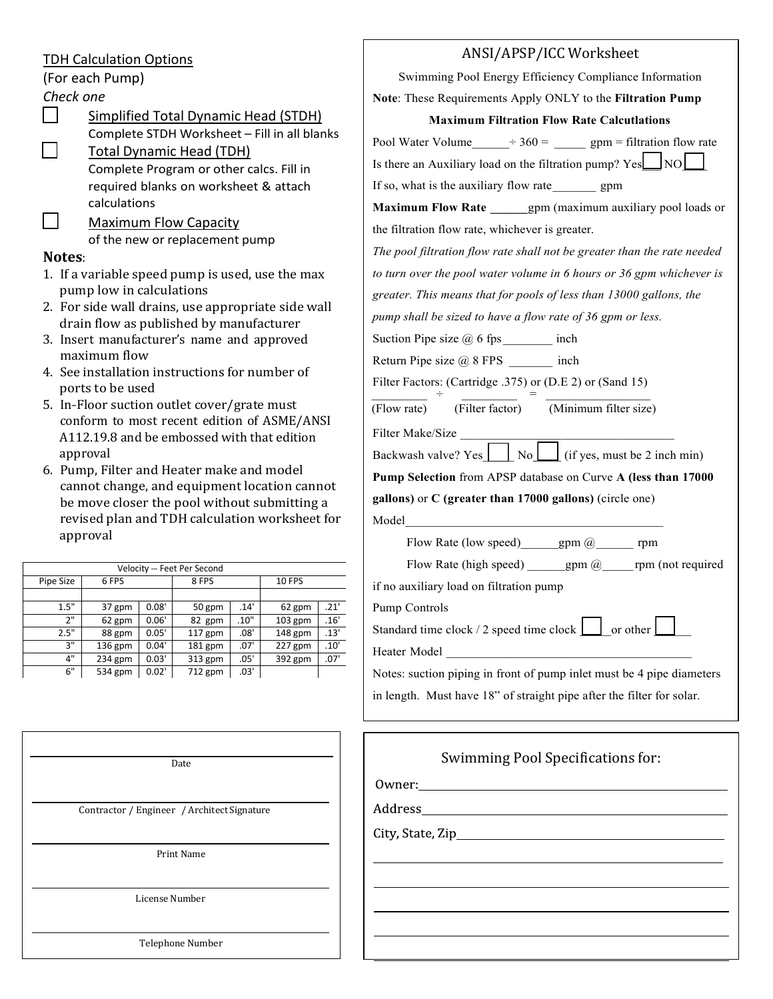## TDH Calculation Options

(For each Pump)

# *Check one*

Simplified Total Dynamic Head (STDH) Complete STDH Worksheet – Fill in all blanks ☐ Total Dynamic Head (TDH) Complete Program or other calcs. Fill in

required blanks on worksheet & attach calculations

Maximum Flow Capacity of the new or replacement pump

#### **Notes**:

- 1. If a variable speed pump is used, use the max pump low in calculations
- 2. For side wall drains, use appropriate side wall drain flow as published by manufacturer
- 3. Insert manufacturer's name and approved maximum flow
- 4. See installation instructions for number of ports to be used
- 5. In-Floor suction outlet cover/grate must conform to most recent edition of ASME/ANSI A112.19.8 and be embossed with that edition approval
- 6. Pump, Filter and Heater make and model cannot change, and equipment location cannot be move closer the pool without submitting a revised plan and TDH calculation worksheet for approval

| Velocity -- Feet Per Second |           |       |           |      |               |      |  |  |  |
|-----------------------------|-----------|-------|-----------|------|---------------|------|--|--|--|
| Pipe Size                   | 6 FPS     | 8 FPS |           |      | <b>10 FPS</b> |      |  |  |  |
|                             |           |       |           |      |               |      |  |  |  |
| 1.5"                        | 37 gpm    | 0.08' | 50 gpm    | .14' | 62 gpm        | .21' |  |  |  |
| 2"                          | 62 gpm    | 0.06' | 82 gpm    | .10" | $103$ gpm     | .16' |  |  |  |
| 2.5"                        | 88 gpm    | 0.05' | $117$ gpm | .08' | 148 gpm       | .13' |  |  |  |
| 3"                          | $136$ gpm | 0.04' | 181 gpm   | .07' | $227$ gpm     | .10' |  |  |  |
| 4"                          | $234$ gpm | 0.03' | 313 gpm   | .05' | 392 gpm       | .07' |  |  |  |
| 6"                          | 534 gpm   | 0.02' | 712 gpm   | .03' |               |      |  |  |  |
|                             |           |       |           |      |               |      |  |  |  |

Date

Contractor / Engineer / Architect Signature

Print Name

| Note: These Requirements Apply ONLY to the Filtration Pump                  |
|-----------------------------------------------------------------------------|
| <b>Maximum Filtration Flow Rate Calcutlations</b>                           |
| Pool Water Volume $\qquad$ $\div$ 360 = $\qquad$ gpm = filtration flow rate |
| Is there an Auxiliary load on the filtration pump? Yes NO                   |
|                                                                             |
| Maximum Flow Rate _______ gpm (maximum auxiliary pool loads or              |
|                                                                             |
| The pool filtration flow rate shall not be greater than the rate needed     |
| to turn over the pool water volume in 6 hours or 36 gpm whichever is        |
| greater. This means that for pools of less than 13000 gallons, the          |
| pump shall be sized to have a flow rate of 36 gpm or less.                  |
|                                                                             |
|                                                                             |
| Filter Factors: (Cartridge .375) or (D.E 2) or (Sand 15)                    |
| (Filter factor) (Minimum filter size)                                       |
|                                                                             |
| Backwash valve? Yes $\Box$ No $\Box$ (if yes, must be 2 inch min)           |
| Pump Selection from APSP database on Curve A (less than 17000               |
| gallons) or $C$ (greater than 17000 gallons) (circle one)                   |
|                                                                             |
| Flow Rate (low speed) _______ gpm @________ rpm                             |
| Flow Rate (high speed) _______ gpm @______ rpm (not required                |
|                                                                             |
|                                                                             |
| Standard time clock $/2$ speed time clock $\boxed{\phantom{1}}$ or other    |
|                                                                             |
| Notes: suction piping in front of pump inlet must be 4 pipe diameters       |
| in length. Must have 18" of straight pipe after the filter for solar.       |
|                                                                             |
| Swimming Pool Specifications for:                                           |

ANSI/APSP/ICC Worksheet Swimming Pool Energy Efficiency Compliance Information

License Number

Telephone Number